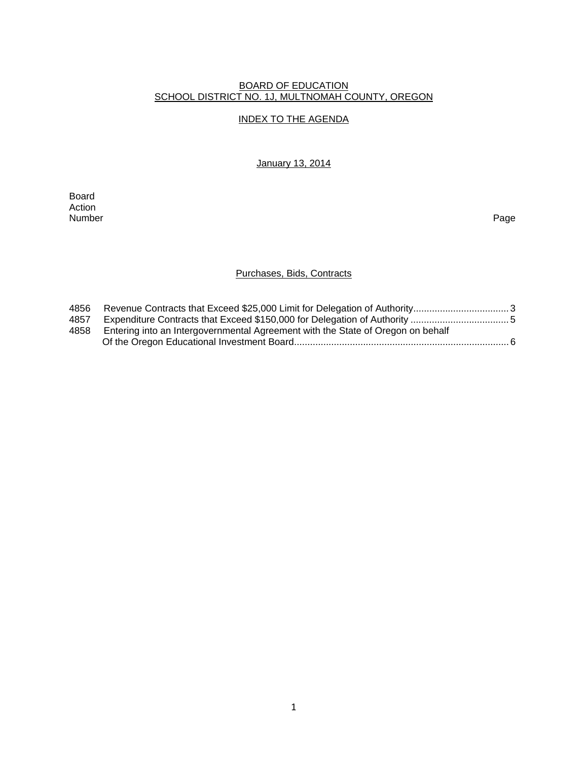#### BOARD OF EDUCATION SCHOOL DISTRICT NO. 1J, MULTNOMAH COUNTY, OREGON

## INDEX TO THE AGENDA

January 13, 2014

Board Action<br>Number Number Page

## Purchases, Bids, Contracts

| 4856 |                                                                                 |  |
|------|---------------------------------------------------------------------------------|--|
| 4857 |                                                                                 |  |
| 4858 | Entering into an Intergovernmental Agreement with the State of Oregon on behalf |  |
|      |                                                                                 |  |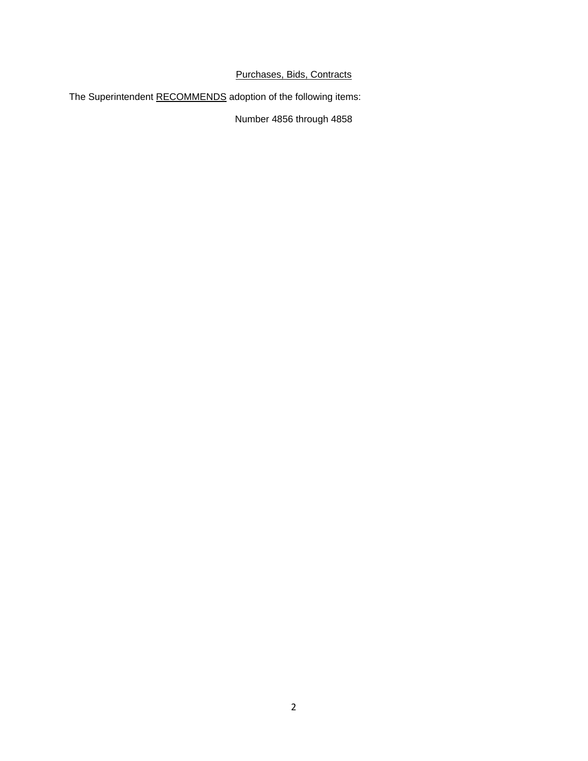# Purchases, Bids, Contracts

The Superintendent RECOMMENDS adoption of the following items:

Number 4856 through 4858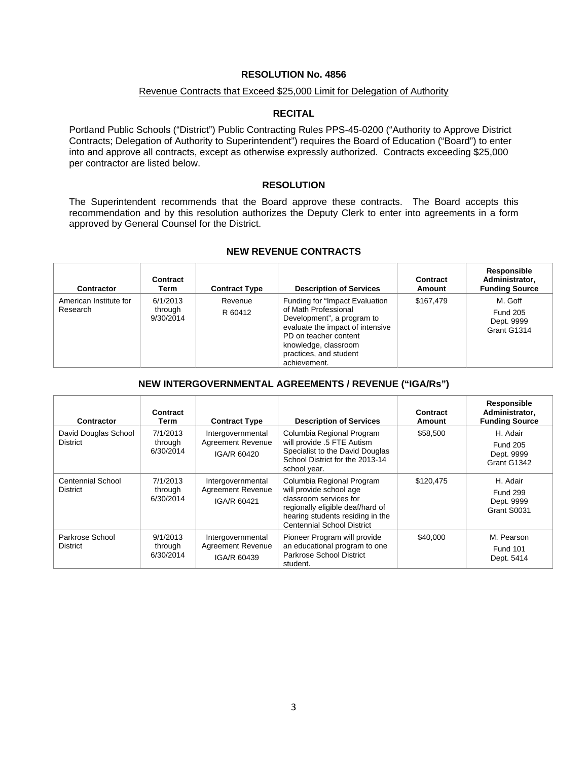### **RESOLUTION No. 4856**

#### Revenue Contracts that Exceed \$25,000 Limit for Delegation of Authority

#### **RECITAL**

Portland Public Schools ("District") Public Contracting Rules PPS-45-0200 ("Authority to Approve District Contracts; Delegation of Authority to Superintendent") requires the Board of Education ("Board") to enter into and approve all contracts, except as otherwise expressly authorized. Contracts exceeding \$25,000 per contractor are listed below.

### **RESOLUTION**

The Superintendent recommends that the Board approve these contracts. The Board accepts this recommendation and by this resolution authorizes the Deputy Clerk to enter into agreements in a form approved by General Counsel for the District.

| <b>Contractor</b>                  | Contract<br>Term                 | <b>Contract Type</b> | <b>Description of Services</b>                                                                                                                                                                                      | Contract<br><b>Amount</b> | Responsible<br>Administrator.<br><b>Funding Source</b>  |
|------------------------------------|----------------------------------|----------------------|---------------------------------------------------------------------------------------------------------------------------------------------------------------------------------------------------------------------|---------------------------|---------------------------------------------------------|
| American Institute for<br>Research | 6/1/2013<br>through<br>9/30/2014 | Revenue<br>R 60412   | Funding for "Impact Evaluation<br>of Math Professional<br>Development", a program to<br>evaluate the impact of intensive<br>PD on teacher content<br>knowledge, classroom<br>practices, and student<br>achievement. | \$167.479                 | M. Goff<br><b>Fund 205</b><br>Dept. 9999<br>Grant G1314 |

#### **NEW REVENUE CONTRACTS**

### **NEW INTERGOVERNMENTAL AGREEMENTS / REVENUE ("IGA/Rs")**

| Contractor                                  | Contract<br>Term                 | <b>Contract Type</b>                                         | <b>Description of Services</b>                                                                                                                                                              | Contract<br>Amount | Responsible<br>Administrator,<br><b>Funding Source</b>   |
|---------------------------------------------|----------------------------------|--------------------------------------------------------------|---------------------------------------------------------------------------------------------------------------------------------------------------------------------------------------------|--------------------|----------------------------------------------------------|
| David Douglas School<br><b>District</b>     | 7/1/2013<br>through<br>6/30/2014 | Intergovernmental<br><b>Agreement Revenue</b><br>IGA/R 60420 | Columbia Regional Program<br>will provide .5 FTE Autism<br>Specialist to the David Douglas<br>School District for the 2013-14<br>school year.                                               | \$58,500           | H. Adair<br><b>Fund 205</b><br>Dept. 9999<br>Grant G1342 |
| <b>Centennial School</b><br><b>District</b> | 7/1/2013<br>through<br>6/30/2014 | Intergovernmental<br><b>Agreement Revenue</b><br>IGA/R 60421 | Columbia Regional Program<br>will provide school age<br>classroom services for<br>regionally eligible deaf/hard of<br>hearing students residing in the<br><b>Centennial School District</b> | \$120,475          | H. Adair<br><b>Fund 299</b><br>Dept. 9999<br>Grant S0031 |
| Parkrose School<br><b>District</b>          | 9/1/2013<br>through<br>6/30/2014 | Intergovernmental<br><b>Agreement Revenue</b><br>IGA/R 60439 | Pioneer Program will provide<br>an educational program to one<br>Parkrose School District<br>student.                                                                                       | \$40,000           | M. Pearson<br><b>Fund 101</b><br>Dept. 5414              |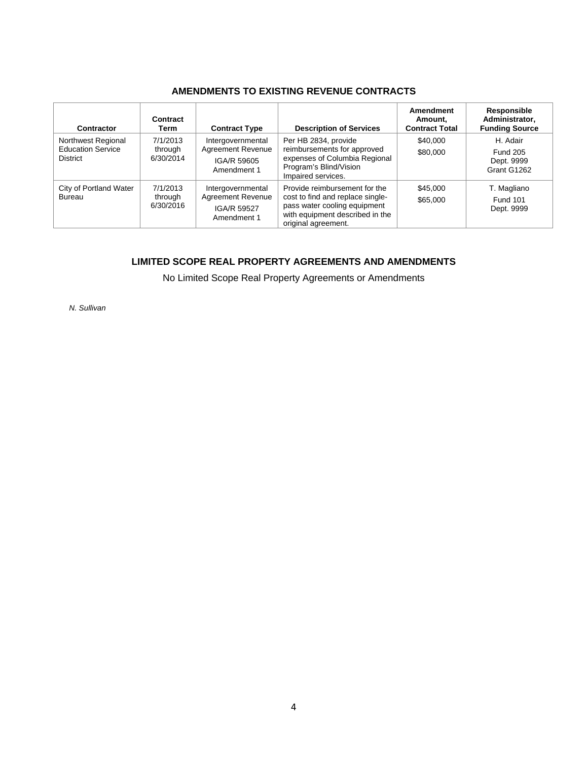## **AMENDMENTS TO EXISTING REVENUE CONTRACTS**

| Contractor                                                        | Contract<br>Term                 | <b>Contract Type</b>                                                        | <b>Description of Services</b>                                                                                                                              | Amendment<br>Amount.<br><b>Contract Total</b> | Responsible<br>Administrator,<br><b>Funding Source</b>   |
|-------------------------------------------------------------------|----------------------------------|-----------------------------------------------------------------------------|-------------------------------------------------------------------------------------------------------------------------------------------------------------|-----------------------------------------------|----------------------------------------------------------|
| Northwest Regional<br><b>Education Service</b><br><b>District</b> | 7/1/2013<br>through<br>6/30/2014 | Intergovernmental<br><b>Agreement Revenue</b><br>IGA/R 59605<br>Amendment 1 | Per HB 2834, provide<br>reimbursements for approved<br>expenses of Columbia Regional<br>Program's Blind/Vision<br>Impaired services.                        | \$40,000<br>\$80,000                          | H. Adair<br><b>Fund 205</b><br>Dept. 9999<br>Grant G1262 |
| City of Portland Water<br><b>Bureau</b>                           | 7/1/2013<br>through<br>6/30/2016 | Intergovernmental<br><b>Agreement Revenue</b><br>IGA/R 59527<br>Amendment 1 | Provide reimbursement for the<br>cost to find and replace single-<br>pass water cooling equipment<br>with equipment described in the<br>original agreement. | \$45,000<br>\$65,000                          | T. Magliano<br><b>Fund 101</b><br>Dept. 9999             |

# **LIMITED SCOPE REAL PROPERTY AGREEMENTS AND AMENDMENTS**

No Limited Scope Real Property Agreements or Amendments

*N. Sullivan*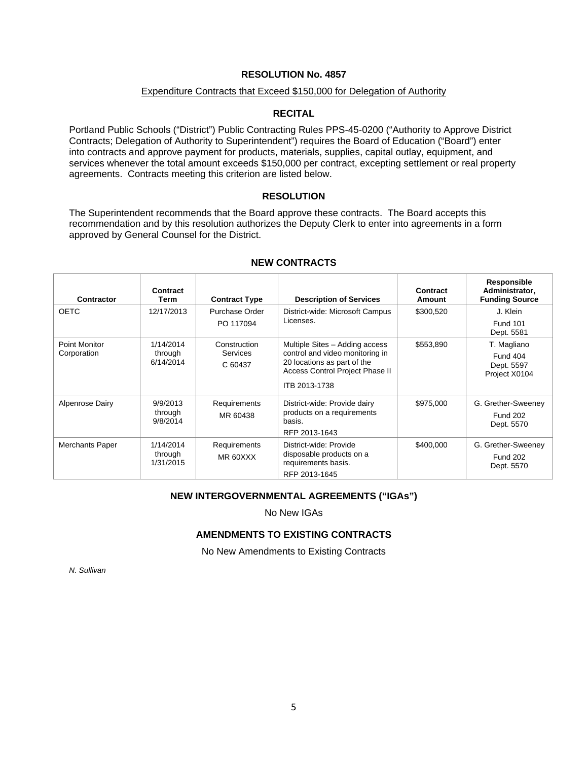### **RESOLUTION No. 4857**

### Expenditure Contracts that Exceed \$150,000 for Delegation of Authority

### **RECITAL**

Portland Public Schools ("District") Public Contracting Rules PPS-45-0200 ("Authority to Approve District Contracts; Delegation of Authority to Superintendent") requires the Board of Education ("Board") enter into contracts and approve payment for products, materials, supplies, capital outlay, equipment, and services whenever the total amount exceeds \$150,000 per contract, excepting settlement or real property agreements. Contracts meeting this criterion are listed below.

### **RESOLUTION**

The Superintendent recommends that the Board approve these contracts. The Board accepts this recommendation and by this resolution authorizes the Deputy Clerk to enter into agreements in a form approved by General Counsel for the District.

| <b>Contractor</b>    | Contract<br>Term                  | <b>Contract Type</b>       | <b>Description of Services</b>                                                                    | Contract<br><b>Amount</b> | Responsible<br>Administrator,<br><b>Funding Source</b> |
|----------------------|-----------------------------------|----------------------------|---------------------------------------------------------------------------------------------------|---------------------------|--------------------------------------------------------|
| <b>OETC</b>          | 12/17/2013                        | Purchase Order             | District-wide: Microsoft Campus                                                                   | \$300,520                 | J. Klein                                               |
|                      |                                   | PO 117094                  | Licenses.                                                                                         |                           | <b>Fund 101</b><br>Dept. 5581                          |
| <b>Point Monitor</b> | 1/14/2014                         | Construction               | Multiple Sites - Adding access                                                                    | \$553,890                 | T. Magliano                                            |
| Corporation          | through<br>6/14/2014              | <b>Services</b><br>C 60437 | control and video monitoring in<br>20 locations as part of the<br>Access Control Project Phase II |                           | <b>Fund 404</b><br>Dept. 5597<br>Project X0104         |
|                      |                                   |                            | ITB 2013-1738                                                                                     |                           |                                                        |
| Alpenrose Dairy      | 9/9/2013<br>through<br>9/8/2014   | Requirements<br>MR 60438   | District-wide: Provide dairy<br>products on a requirements<br>basis.<br>RFP 2013-1643             | \$975,000                 | G. Grether-Sweeney<br><b>Fund 202</b><br>Dept. 5570    |
| Merchants Paper      | 1/14/2014<br>through<br>1/31/2015 | Requirements<br>MR 60XXX   | District-wide: Provide<br>disposable products on a<br>requirements basis.                         | \$400,000                 | G. Grether-Sweeney<br><b>Fund 202</b><br>Dept. 5570    |
|                      |                                   |                            | RFP 2013-1645                                                                                     |                           |                                                        |

### **NEW CONTRACTS**

### **NEW INTERGOVERNMENTAL AGREEMENTS ("IGAs")**

No New IGAs

### **AMENDMENTS TO EXISTING CONTRACTS**

No New Amendments to Existing Contracts

*N. Sullivan*